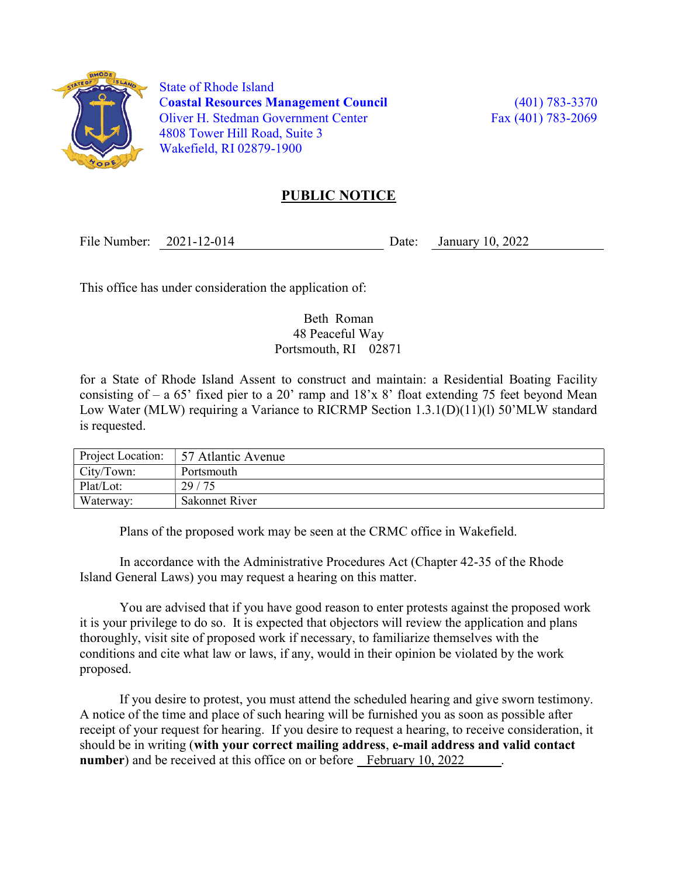

 State of Rhode Island Coastal Resources Management Council (401) 783-3370 Oliver H. Stedman Government Center Fax (401) 783-2069 4808 Tower Hill Road, Suite 3 Wakefield, RI 02879-1900

## PUBLIC NOTICE

File Number: 2021-12-014 Date: January 10, 2022

This office has under consideration the application of:

## Beth Roman 48 Peaceful Way Portsmouth, RI 02871

for a State of Rhode Island Assent to construct and maintain: a Residential Boating Facility consisting of  $-$  a 65' fixed pier to a 20' ramp and  $18'x8'$  float extending 75 feet beyond Mean Low Water (MLW) requiring a Variance to RICRMP Section 1.3.1(D)(11)(1) 50'MLW standard is requested.

| Project Location: | 57 Atlantic Avenue |
|-------------------|--------------------|
| City/Town:        | Portsmouth         |
| Plat/Lot:         | 29/75              |
| Waterway:         | Sakonnet River     |

Plans of the proposed work may be seen at the CRMC office in Wakefield.

In accordance with the Administrative Procedures Act (Chapter 42-35 of the Rhode Island General Laws) you may request a hearing on this matter.

You are advised that if you have good reason to enter protests against the proposed work it is your privilege to do so. It is expected that objectors will review the application and plans thoroughly, visit site of proposed work if necessary, to familiarize themselves with the conditions and cite what law or laws, if any, would in their opinion be violated by the work proposed.

If you desire to protest, you must attend the scheduled hearing and give sworn testimony. A notice of the time and place of such hearing will be furnished you as soon as possible after receipt of your request for hearing. If you desire to request a hearing, to receive consideration, it should be in writing (with your correct mailing address, e-mail address and valid contact number) and be received at this office on or before February 10, 2022